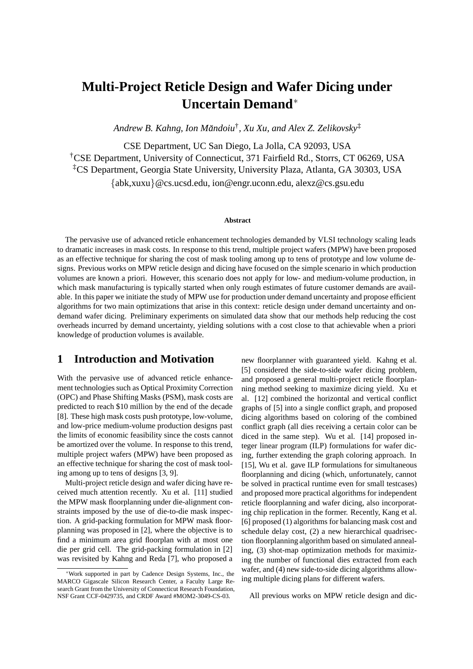# **Multi-Project Reticle Design and Wafer Dicing under Uncertain Demand**<sup>∗</sup>

*Andrew B. Kahng, Ion Mandoiu ˘* †*, Xu Xu, and Alex Z. Zelikovsky*‡

CSE Department, UC San Diego, La Jolla, CA 92093, USA †CSE Department, University of Connecticut, 371 Fairfield Rd., Storrs, CT 06269, USA ‡CS Department, Georgia State University, University Plaza, Atlanta, GA 30303, USA {abk,xuxu}@cs.ucsd.edu, ion@engr.uconn.edu, alexz@cs.gsu.edu

#### **Abstract**

The pervasive use of advanced reticle enhancement technologies demanded by VLSI technology scaling leads to dramatic increases in mask costs. In response to this trend, multiple project wafers (MPW) have been proposed as an effective technique for sharing the cost of mask tooling among up to tens of prototype and low volume designs. Previous works on MPW reticle design and dicing have focused on the simple scenario in which production volumes are known a priori. However, this scenario does not apply for low- and medium-volume production, in which mask manufacturing is typically started when only rough estimates of future customer demands are available. In this paper we initiate the study of MPW use for production under demand uncertainty and propose efficient algorithms for two main optimizations that arise in this context: reticle design under demand uncertainty and ondemand wafer dicing. Preliminary experiments on simulated data show that our methods help reducing the cost overheads incurred by demand uncertainty, yielding solutions with a cost close to that achievable when a priori knowledge of production volumes is available.

# **1 Introduction and Motivation**

With the pervasive use of advanced reticle enhancement technologies such as Optical Proximity Correction (OPC) and Phase Shifting Masks (PSM), mask costs are predicted to reach \$10 million by the end of the decade [8]. These high mask costs push prototype, low-volume, and low-price medium-volume production designs past the limits of economic feasibility since the costs cannot be amortized over the volume. In response to this trend, multiple project wafers (MPW) have been proposed as an effective technique for sharing the cost of mask tooling among up to tens of designs [3, 9].

Multi-project reticle design and wafer dicing have received much attention recently. Xu et al. [11] studied the MPW mask floorplanning under die-alignment constraints imposed by the use of die-to-die mask inspection. A grid-packing formulation for MPW mask floorplanning was proposed in [2], where the objective is to find a minimum area grid floorplan with at most one die per grid cell. The grid-packing formulation in [2] was revisited by Kahng and Reda [7], who proposed a

new floorplanner with guaranteed yield. Kahng et al. [5] considered the side-to-side wafer dicing problem, and proposed a general multi-project reticle floorplanning method seeking to maximize dicing yield. Xu et al. [12] combined the horizontal and vertical conflict graphs of [5] into a single conflict graph, and proposed dicing algorithms based on coloring of the combined conflict graph (all dies receiving a certain color can be diced in the same step). Wu et al. [14] proposed integer linear program (ILP) formulations for wafer dicing, further extending the graph coloring approach. In [15], Wu et al. gave ILP formulations for simultaneous floorplanning and dicing (which, unfortunately, cannot be solved in practical runtime even for small testcases) and proposed more practical algorithms for independent reticle floorplanning and wafer dicing, also incorporating chip replication in the former. Recently, Kang et al. [6] proposed (1) algorithms for balancing mask cost and schedule delay cost, (2) a new hierarchical quadrisection floorplanning algorithm based on simulated annealing, (3) shot-map optimization methods for maximizing the number of functional dies extracted from each wafer, and (4) new side-to-side dicing algorithms allowing multiple dicing plans for different wafers.

All previous works on MPW reticle design and dic-

<sup>∗</sup>Work supported in part by Cadence Design Systems, Inc., the MARCO Gigascale Silicon Research Center, a Faculty Large Research Grant from the University of Connecticut Research Foundation, NSF Grant CCF-0429735, and CRDF Award #MOM2-3049-CS-03.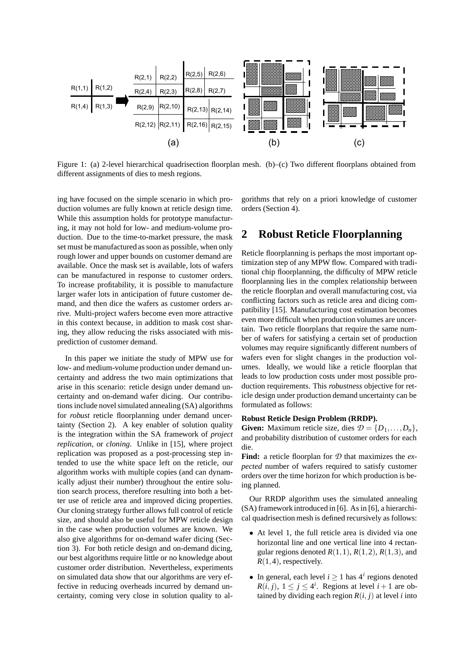

Figure 1: (a) 2-level hierarchical quadrisection floorplan mesh. (b)–(c) Two different floorplans obtained from different assignments of dies to mesh regions.

ing have focused on the simple scenario in which production volumes are fully known at reticle design time. While this assumption holds for prototype manufacturing, it may not hold for low- and medium-volume production. Due to the time-to-market pressure, the mask set must be manufactured as soon as possible, when only rough lower and upper bounds on customer demand are available. Once the mask set is available, lots of wafers can be manufactured in response to customer orders. To increase profitability, it is possible to manufacture larger wafer lots in anticipation of future customer demand, and then dice the wafers as customer orders arrive. Multi-project wafers become even more attractive in this context because, in addition to mask cost sharing, they allow reducing the risks associated with misprediction of customer demand.

In this paper we initiate the study of MPW use for low- and medium-volume production under demand uncertainty and address the two main optimizations that arise in this scenario: reticle design under demand uncertainty and on-demand wafer dicing. Our contributions include novel simulated annealing (SA) algorithms for *robust* reticle floorplanning under demand uncertainty (Section 2). A key enabler of solution quality is the integration within the SA framework of *project replication*, or *cloning*. Unlike in [15], where project replication was proposed as a post-processing step intended to use the white space left on the reticle, our algorithm works with multiple copies (and can dynamically adjust their number) throughout the entire solution search process, therefore resulting into both a better use of reticle area and improved dicing properties. Our cloning strategy further allows full control of reticle size, and should also be useful for MPW reticle design in the case when production volumes are known. We also give algorithms for on-demand wafer dicing (Section 3). For both reticle design and on-demand dicing, our best algorithms require little or no knowledge about customer order distribution. Nevertheless, experiments on simulated data show that our algorithms are very effective in reducing overheads incurred by demand uncertainty, coming very close in solution quality to al-

gorithms that rely on a priori knowledge of customer orders (Section 4).

# **2 Robust Reticle Floorplanning**

Reticle floorplanning is perhaps the most important optimization step of any MPW flow. Compared with traditional chip floorplanning, the difficulty of MPW reticle floorplanning lies in the complex relationship between the reticle floorplan and overall manufacturing cost, via conflicting factors such as reticle area and dicing compatibility [15]. Manufacturing cost estimation becomes even more difficult when production volumes are uncertain. Two reticle floorplans that require the same number of wafers for satisfying a certain set of production volumes may require significantly different numbers of wafers even for slight changes in the production volumes. Ideally, we would like a reticle floorplan that leads to low production costs under most possible production requirements. This *robustness* objective for reticle design under production demand uncertainty can be formulated as follows:

#### **Robust Reticle Design Problem (RRDP).**

**Given:** Maximum reticle size, dies  $\mathcal{D} = \{D_1, \ldots, D_n\}$ , and probability distribution of customer orders for each die.

**Find:** a reticle floorplan for *D* that maximizes the *expected* number of wafers required to satisfy customer orders over the time horizon for which production is being planned.

Our RRDP algorithm uses the simulated annealing (SA) framework introduced in [6]. As in [6], a hierarchical quadrisection mesh is defined recursively as follows:

- At level 1, the full reticle area is divided via one horizontal line and one vertical line into 4 rectangular regions denoted *R*(1*,*1), *R*(1*,*2), *R*(1*,*3), and *R*(1*,*4), respectively.
- In general, each level  $i \ge 1$  has  $4^i$  regions denoted  $R(i, j)$ ,  $1 \leq j \leq 4^i$ . Regions at level  $i + 1$  are obtained by dividing each region  $R(i, j)$  at level *i* into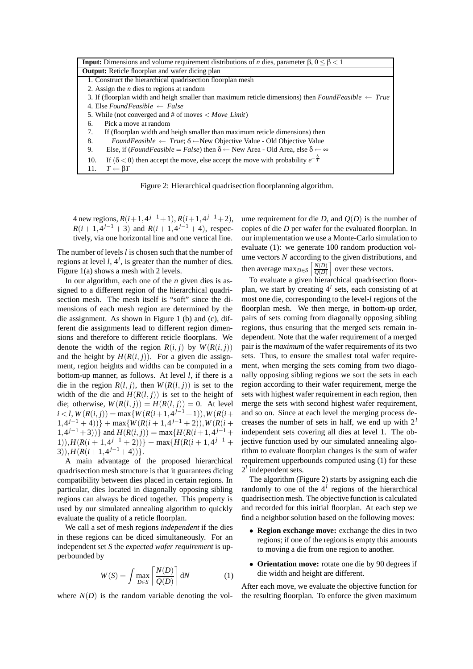| <b>Input:</b> Dimensions and volume requirement distributions of <i>n</i> dies, parameter $\beta$ , $0 \le \beta < 1$                |
|--------------------------------------------------------------------------------------------------------------------------------------|
| <b>Output:</b> Reticle floorplan and wafer dicing plan                                                                               |
| 1. Construct the hierarchical quadrisection floorplan mesh                                                                           |
| 2. Assign the <i>n</i> dies to regions at random                                                                                     |
| 3. If (floorplan width and heigh smaller than maximum reticle dimensions) then FoundFeasible $\leftarrow$ True                       |
| 4. Else Found Feasible $\leftarrow$ False                                                                                            |
| 5. While (not converged and # of moves $\langle Move\_Limit \rangle$ )                                                               |
| Pick a move at random<br>6.                                                                                                          |
| If (floorplan width and heigh smaller than maximum reticle dimensions) then<br>7.                                                    |
| Found Feasible $\leftarrow$ True; $\delta \leftarrow$ New Objective Value - Old Objective Value<br>8.                                |
| Else, if ( <i>FoundFeasible</i> = <i>False</i> ) then $\delta \leftarrow$ New Area - Old Area, else $\delta \leftarrow \infty$<br>9. |
| If $(\delta < 0)$ then accept the move, else accept the move with probability $e^{-\frac{\delta}{T}}$<br>10.                         |
| $T \leftarrow \beta T$<br>11.                                                                                                        |

Figure 2: Hierarchical quadrisection floorplanning algorithm.

4 new regions,  $R(i+1,4^{j-1}+1)$ ,  $R(i+1,4^{j-1}+2)$ , *R*(*i* + 1,  $4^{j-1}$  + 3) and *R*(*i* + 1,  $4^{j-1}$  + 4), respectively, via one horizontal line and one vertical line.

The number of levels *l* is chosen such that the number of regions at level  $l$ ,  $4^l$ , is greater than the number of dies. Figure 1(a) shows a mesh with 2 levels.

In our algorithm, each one of the *n* given dies is assigned to a different region of the hierarchical quadrisection mesh. The mesh itself is "soft" since the dimensions of each mesh region are determined by the die assignment. As shown in Figure 1 (b) and (c), different die assignments lead to different region dimensions and therefore to different reticle floorplans. We denote the width of the region  $R(i, j)$  by  $W(R(i, j))$ and the height by  $H(R(i, j))$ . For a given die assignment, region heights and widths can be computed in a bottom-up manner, as follows. At level *l*, if there is a die in the region  $R(l, j)$ , then  $W(R(l, j))$  is set to the width of the die and  $H(R(l, j))$  is set to the height of die; otherwise,  $W(R(l, j)) = H(R(l, j)) = 0$ . At level  $i < l$ ,  $W(R(i, j)) = \max\{W(R(i+1, 4^{j-1}+1)), W(R(i+1, 4^{j-1}+1)\}$  $1,4^{j-1}+4$ ))} + max{ $W(R(i+1,4^{j-1}+2))$ ,  $W(R(i+1,4^{j-1}+2))$  $(1,4^{j-1}+3))$ } and  $H(R(i,j)) = \max\{H(R(i+1,4^{j-1}+1))\}$  $1$ )),  $H(R(i + 1, 4^{j-1} + 2))$ } + max{ $H(R(i + 1, 4^{j-1} + 4^{j-1})$  $B(j), H(R(i+1,4^{j-1}+4))$ .

A main advantage of the proposed hierarchical quadrisection mesh structure is that it guarantees dicing compatibility between dies placed in certain regions. In particular, dies located in diagonally opposing sibling regions can always be diced together. This property is used by our simulated annealing algorithm to quickly evaluate the quality of a reticle floorplan.

We call a set of mesh regions *independent* if the dies in these regions can be diced simultaneously. For an independent set *S* the *expected wafer requirement* is upperbounded by

$$
W(S) = \int \max_{D \in S} \left[ \frac{N(D)}{Q(D)} \right] dN \tag{1}
$$

where  $N(D)$  is the random variable denoting the vol-

ume requirement for die  $D$ , and  $Q(D)$  is the number of copies of die *D* per wafer for the evaluated floorplan. In our implementation we use a Monte-Carlo simulation to evaluate (1): we generate 100 random production volume vectors *N* according to the given distributions, and then average max $_{D \in S} \left[ \frac{N(D)}{Q(D)} \right]$  over these vectors.

To evaluate a given hierarchical quadrisection floorplan, we start by creating  $4<sup>l</sup>$  sets, each consisting of at most one die, corresponding to the level-*l* regions of the floorplan mesh. We then merge, in bottom-up order, pairs of sets coming from diagonally opposing sibling regions, thus ensuring that the merged sets remain independent. Note that the wafer requirement of a merged pair is the *maximum* of the wafer requirements of its two sets. Thus, to ensure the smallest total wafer requirement, when merging the sets coming from two diagonally opposing sibling regions we sort the sets in each region according to their wafer requirement, merge the sets with highest wafer requirement in each region, then merge the sets with second highest wafer requirement, and so on. Since at each level the merging process decreases the number of sets in half, we end up with  $2<sup>l</sup>$ independent sets covering all dies at level 1. The objective function used by our simulated annealing algorithm to evaluate floorplan changes is the sum of wafer requirement upperbounds computed using (1) for these  $2<sup>l</sup>$  independent sets.

The algorithm (Figure 2) starts by assigning each die randomly to one of the  $4<sup>l</sup>$  regions of the hierarchical quadrisection mesh. The objective function is calculated and recorded for this initial floorplan. At each step we find a neighbor solution based on the following moves:

- **Region exchange move:** exchange the dies in two regions; if one of the regions is empty this amounts to moving a die from one region to another.
- **Orientation move:** rotate one die by 90 degrees if die width and height are different.

After each move, we evaluate the objective function for the resulting floorplan. To enforce the given maximum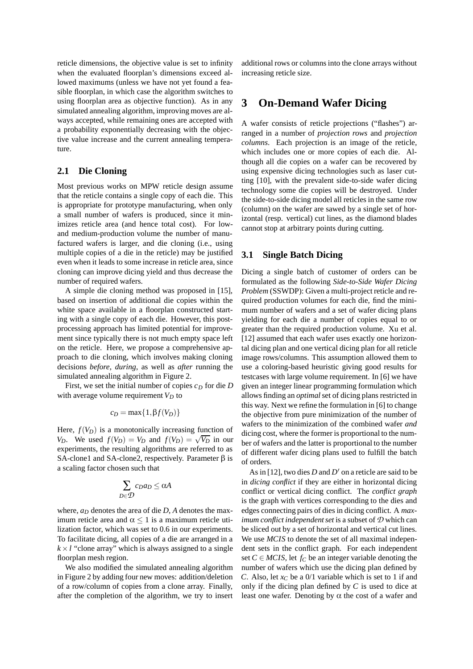reticle dimensions, the objective value is set to infinity when the evaluated floorplan's dimensions exceed allowed maximums (unless we have not yet found a feasible floorplan, in which case the algorithm switches to using floorplan area as objective function). As in any simulated annealing algorithm, improving moves are always accepted, while remaining ones are accepted with a probability exponentially decreasing with the objective value increase and the current annealing temperature.

#### **2.1 Die Cloning**

Most previous works on MPW reticle design assume that the reticle contains a single copy of each die. This is appropriate for prototype manufacturing, when only a small number of wafers is produced, since it minimizes reticle area (and hence total cost). For lowand medium-production volume the number of manufactured wafers is larger, and die cloning (i.e., using multiple copies of a die in the reticle) may be justified even when it leads to some increase in reticle area, since cloning can improve dicing yield and thus decrease the number of required wafers.

A simple die cloning method was proposed in [15], based on insertion of additional die copies within the white space available in a floorplan constructed starting with a single copy of each die. However, this postprocessing approach has limited potential for improvement since typically there is not much empty space left on the reticle. Here, we propose a comprehensive approach to die cloning, which involves making cloning decisions *before*, *during*, as well as *after* running the simulated annealing algorithm in Figure 2.

First, we set the initial number of copies  $c_D$  for die  $D$ with average volume requirement  $V_D$  to

$$
c_D = \max\{1, \beta f(V_D)\}
$$

Here,  $f(V_D)$  is a monotonically increasing function of *V<sub>D</sub>*. We used  $f(V_D) = V_D$  and  $f(V_D) = \sqrt{V_D}$  in our experiments, the resulting algorithms are referred to as SA-clone1 and SA-clone2, respectively. Parameter  $\beta$  is a scaling factor chosen such that

$$
\sum_{D \in \mathcal{D}} c_D a_D \leq \alpha A
$$

where,  $a_D$  denotes the area of die *D*, *A* denotes the maximum reticle area and  $\alpha \leq 1$  is a maximum reticle utilization factor, which was set to 0.6 in our experiments. To facilitate dicing, all copies of a die are arranged in a  $k \times l$  "clone array" which is always assigned to a single floorplan mesh region.

We also modified the simulated annealing algorithm in Figure 2 by adding four new moves: addition/deletion of a row/column of copies from a clone array. Finally, after the completion of the algorithm, we try to insert additional rows or columns into the clone arrays without increasing reticle size.

## **3 On-Demand Wafer Dicing**

A wafer consists of reticle projections ("flashes") arranged in a number of *projection rows* and *projection columns*. Each projection is an image of the reticle, which includes one or more copies of each die. Although all die copies on a wafer can be recovered by using expensive dicing technologies such as laser cutting [10], with the prevalent side-to-side wafer dicing technology some die copies will be destroyed. Under the side-to-side dicing model all reticles in the same row (column) on the wafer are sawed by a single set of horizontal (resp. vertical) cut lines, as the diamond blades cannot stop at arbitrary points during cutting.

#### **3.1 Single Batch Dicing**

Dicing a single batch of customer of orders can be formulated as the following *Side-to-Side Wafer Dicing Problem* (SSWDP): Given a multi-project reticle and required production volumes for each die, find the minimum number of wafers and a set of wafer dicing plans yielding for each die a number of copies equal to or greater than the required production volume. Xu et al. [12] assumed that each wafer uses exactly one horizontal dicing plan and one vertical dicing plan for all reticle image rows/columns. This assumption allowed them to use a coloring-based heuristic giving good results for testcases with large volume requirement. In [6] we have given an integer linear programming formulation which allows finding an *optimal*set of dicing plans restricted in this way. Next we refine the formulation in [6] to change the objective from pure minimization of the number of wafers to the minimization of the combined wafer *and* dicing cost, where the former is proportional to the number of wafers and the latter is proportional to the number of different wafer dicing plans used to fulfill the batch of orders.

As in [12], two dies *D* and  $D'$  on a reticle are said to be in *dicing conflict* if they are either in horizontal dicing conflict or vertical dicing conflict. The *conflict graph* is the graph with vertices corresponding to the dies and edges connecting pairs of dies in dicing conflict. A *maximum conflict independent set* is a subset of *D* which can be sliced out by a set of horizontal and vertical cut lines. We use *MCIS* to denote the set of all maximal independent sets in the conflict graph. For each independent set  $C \in MCIS$ , let  $f_C$  be an integer variable denoting the number of wafers which use the dicing plan defined by *C*. Also, let  $x_C$  be a 0/1 variable which is set to 1 if and only if the dicing plan defined by *C* is used to dice at least one wafer. Denoting by  $\alpha$  the cost of a wafer and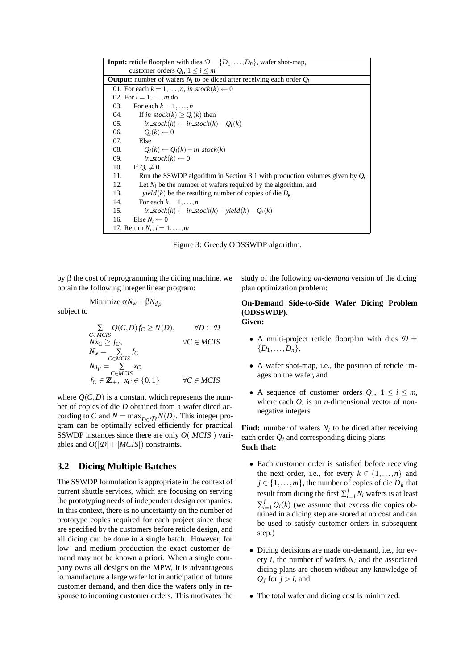| <b>Input:</b> reticle floorplan with dies $\mathcal{D} = \{D_1, \ldots, D_n\}$ , wafer shot-map, |
|--------------------------------------------------------------------------------------------------|
| customer orders $Q_i$ , $1 \le i \le m$                                                          |
| <b>Output:</b> number of wafers $N_i$ to be diced after receiving each order $Q_i$               |
| 01. For each $k = 1, \ldots, n$ , in_stock(k) $\leftarrow$ 0                                     |
| 02. For $i = 1, , m$ do                                                                          |
| For each $k = 1, \ldots, n$<br>03.                                                               |
| If in $stock(k) \ge Q_i(k)$ then<br>04.                                                          |
| $in\_stock(k) \leftarrow in\_stock(k) - Q_i(k)$<br>05.                                           |
| $O_i(k) \leftarrow 0$<br>06.                                                                     |
| 07.<br>Else                                                                                      |
| $Q_i(k) \leftarrow Q_i(k) - in\_stock(k)$<br>08.                                                 |
| $in\_stock(k) \leftarrow 0$<br>09.                                                               |
| 10.<br>If $O_i \neq 0$                                                                           |
| 11.<br>Run the SSWDP algorithm in Section 3.1 with production volumes given by $Q_i$             |
| 12.<br>Let $N_i$ be the number of wafers required by the algorithm, and                          |
| 13.<br><i>yield</i> ( <i>k</i> ) be the resulting number of copies of die $D_k$                  |
| 14.<br>For each $k = 1, \ldots, n$                                                               |
| $in\_stock(k) \leftarrow in\_stock(k) + yield(k) - O_i(k)$<br>15.                                |
| 16.<br>Else $N_i \leftarrow 0$                                                                   |
| 17. Return $N_i$ , $i = 1, , m$                                                                  |

Figure 3: Greedy ODSSWDP algorithm.

by β the cost of reprogramming the dicing machine, we obtain the following integer linear program:

Minimize 
$$
\alpha N_w + \beta N_{dp}
$$

subject to

$$
\sum_{C \in MCIS} Q(C, D) f_C \ge N(D), \qquad \forall D \in \mathcal{D}
$$
\n
$$
Nx_C \ge f_C, \qquad \forall C \in MCIS
$$
\n
$$
N_w = \sum_{C \in MCIS} f_C
$$
\n
$$
N_{dp} = \sum_{C \in MCIS} x_C
$$
\n
$$
f_C \in \mathbb{Z}_+, \ x_C \in \{0, 1\} \qquad \forall C \in MCIS
$$

where  $Q(C,D)$  is a constant which represents the number of copies of die *D* obtained from a wafer diced according to *C* and  $N = \max_{D \in \mathcal{D}} N(D)$ . This integer program can be optimally solved efficiently for practical SSWDP instances since there are only *O*(|*MCIS*|) variables and  $O(|\mathcal{D}|+|MCIS|)$  constraints.

### **3.2 Dicing Multiple Batches**

The SSWDP formulation is appropriate in the context of current shuttle services, which are focusing on serving the prototyping needs of independent design companies. In this context, there is no uncertainty on the number of prototype copies required for each project since these are specified by the customers before reticle design, and all dicing can be done in a single batch. However, for low- and medium production the exact customer demand may not be known a priori. When a single company owns all designs on the MPW, it is advantageous to manufacture a large wafer lot in anticipation of future customer demand, and then dice the wafers only in response to incoming customer orders. This motivates the study of the following *on-demand* version of the dicing plan optimization problem:

# **On-Demand Side-to-Side Wafer Dicing Problem (ODSSWDP).**

- **Given:**
	- A multi-project reticle floorplan with dies  $\mathcal{D} =$  ${D_1, \ldots, D_n},$
	- A wafer shot-map, i.e., the position of reticle images on the wafer, and
	- A sequence of customer orders  $Q_i$ ,  $1 \le i \le m$ , where each  $Q_i$  is an *n*-dimensional vector of nonnegative integers

**Find:** number of wafers  $N_i$  to be diced after receiving each order  $Q_i$  and corresponding dicing plans **Such that:**

- Each customer order is satisfied before receiving the next order, i.e., for every  $k \in \{1, \ldots, n\}$  and  $j \in \{1, \ldots, m\}$ , the number of copies of die  $D_k$  that result from dicing the first  $\sum_{i=1}^{j} N_i$  wafers is at least  $\sum_{i=1}^{j} Q_i(k)$  (we assume that excess die copies obtained in a dicing step are stored at no cost and can be used to satisfy customer orders in subsequent step.)
- Dicing decisions are made on-demand, i.e., for every  $i$ , the number of wafers  $N_i$  and the associated dicing plans are chosen *without* any knowledge of  $Q_i$  for  $j > i$ , and
- The total wafer and dicing cost is minimized.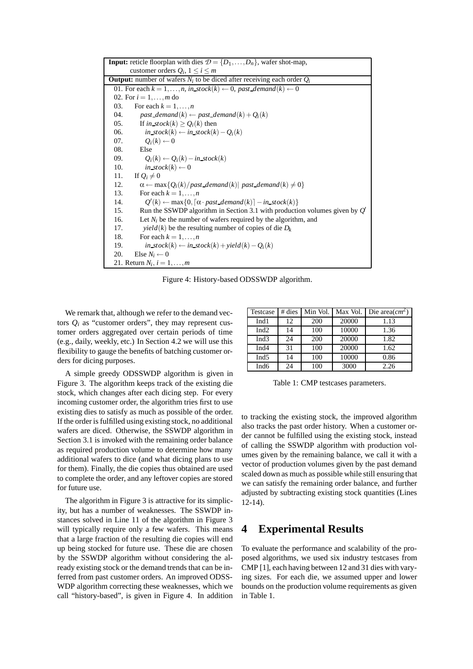| <b>Input:</b> reticle floorplan with dies $\mathcal{D} = \{D_1, \ldots, D_n\}$ , wafer shot-map,  |
|---------------------------------------------------------------------------------------------------|
| customer orders $Q_i$ , $1 \le i \le m$                                                           |
| <b>Output:</b> number of wafers $N_i$ to be diced after receiving each order $Q_i$                |
| 01. For each $k = 1, , n$ , in_stock(k) $\leftarrow$ 0, past_demand(k) $\leftarrow$ 0             |
| 02. For $i = 1, , m$ do                                                                           |
| 03.<br>For each $k = 1, \ldots, n$                                                                |
| past_demand(k) $\leftarrow$ past_demand(k) + $Q_i(k)$<br>04.                                      |
| If $in\_stock(k) \ge Q_i(k)$ then<br>05.                                                          |
| in $stock(k) \leftarrow in stock(k) - Q_i(k)$<br>06.                                              |
| $O_i(k) \leftarrow 0$<br>07.                                                                      |
| 08.<br>Else                                                                                       |
| 09.<br>$Q_i(k) \leftarrow Q_i(k) - in\_stock(k)$                                                  |
| in $stock(k) \leftarrow 0$<br>10.                                                                 |
| 11.<br>If $Q_i \neq 0$                                                                            |
| $\alpha \leftarrow \max\{Q_i(k)/\text{past\_demand}(k)   \text{ past\_demand}(k) \neq 0\}$<br>12. |
| 13.<br>For each $k = 1, \ldots, n$                                                                |
| $Q'(k) \leftarrow \max\{0, \lceil \alpha \cdot past\_demand(k) \rceil - in\_stock(k)\}\$<br>14.   |
| Run the SSWDP algorithm in Section 3.1 with production volumes given by $Q'$<br>15.               |
| Let $N_i$ be the number of wafers required by the algorithm, and<br>16.                           |
| 17.<br>$yield(k)$ be the resulting number of copies of die $D_k$                                  |
| 18.<br>For each $k = 1, \ldots, n$                                                                |
| in $stock(k) \leftarrow in\_stock(k) + yield(k) - Q_i(k)$<br>19.                                  |
| 20.<br>Else $N_i \leftarrow 0$                                                                    |
| 21. Return $N_i$ , $i = 1, \ldots, m$                                                             |

Figure 4: History-based ODSSWDP algorithm.

We remark that, although we refer to the demand vectors  $Q_i$  as "customer orders", they may represent customer orders aggregated over certain periods of time (e.g., daily, weekly, etc.) In Section 4.2 we will use this flexibility to gauge the benefits of batching customer orders for dicing purposes.

A simple greedy ODSSWDP algorithm is given in Figure 3. The algorithm keeps track of the existing die stock, which changes after each dicing step. For every incoming customer order, the algorithm tries first to use existing dies to satisfy as much as possible of the order. If the order is fulfilled using existing stock, no additional wafers are diced. Otherwise, the SSWDP algorithm in Section 3.1 is invoked with the remaining order balance as required production volume to determine how many additional wafers to dice (and what dicing plans to use for them). Finally, the die copies thus obtained are used to complete the order, and any leftover copies are stored for future use.

The algorithm in Figure 3 is attractive for its simplicity, but has a number of weaknesses. The SSWDP instances solved in Line 11 of the algorithm in Figure 3 will typically require only a few wafers. This means that a large fraction of the resulting die copies will end up being stocked for future use. These die are chosen by the SSWDP algorithm without considering the already existing stock or the demand trends that can be inferred from past customer orders. An improved ODSS-WDP algorithm correcting these weaknesses, which we call "history-based", is given in Figure 4. In addition

| Testcase         | # dies | Min Vol. | Max Vol. | Die area $(cm2)$ |
|------------------|--------|----------|----------|------------------|
| Ind1             | 12     | 200      | 20000    | 1.13             |
| Ind2             | 14     | 100      | 10000    | 1.36             |
| Ind <sub>3</sub> | 24     | 200      | 20000    | 1.82             |
| Ind <sub>4</sub> | 31     | 100      | 20000    | 1.62             |
| Ind <sub>5</sub> | 14     | 100      | 10000    | 0.86             |
| Ind <sub>6</sub> | 24     | 100      | 3000     | 2.26             |

Table 1: CMP testcases parameters.

to tracking the existing stock, the improved algorithm also tracks the past order history. When a customer order cannot be fulfilled using the existing stock, instead of calling the SSWDP algorithm with production volumes given by the remaining balance, we call it with a vector of production volumes given by the past demand scaled down as much as possible while still ensuring that we can satisfy the remaining order balance, and further adjusted by subtracting existing stock quantities (Lines 12-14).

# **4 Experimental Results**

To evaluate the performance and scalability of the proposed algorithms, we used six industry testcases from CMP [1], each having between 12 and 31 dies with varying sizes. For each die, we assumed upper and lower bounds on the production volume requirements as given in Table 1.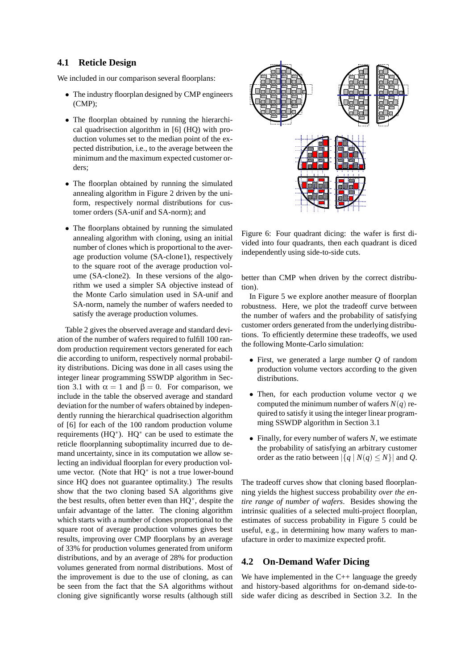#### **4.1 Reticle Design**

We included in our comparison several floorplans:

- The industry floorplan designed by CMP engineers (CMP);
- The floorplan obtained by running the hierarchical quadrisection algorithm in [6] (HQ) with production volumes set to the median point of the expected distribution, i.e., to the average between the minimum and the maximum expected customer orders;
- The floorplan obtained by running the simulated annealing algorithm in Figure 2 driven by the uniform, respectively normal distributions for customer orders (SA-unif and SA-norm); and
- The floorplans obtained by running the simulated annealing algorithm with cloning, using an initial number of clones which is proportional to the average production volume (SA-clone1), respectively to the square root of the average production volume (SA-clone2). In these versions of the algorithm we used a simpler SA objective instead of the Monte Carlo simulation used in SA-unif and SA-norm, namely the number of wafers needed to satisfy the average production volumes.

Table 2 gives the observed average and standard deviation of the number of wafers required to fulfill 100 random production requirement vectors generated for each die according to uniform, respectively normal probability distributions. Dicing was done in all cases using the integer linear programming SSWDP algorithm in Section 3.1 with  $\alpha = 1$  and  $\beta = 0$ . For comparison, we include in the table the observed average and standard deviation for the number of wafers obtained by independently running the hierarchical quadrisection algorithm of [6] for each of the 100 random production volume requirements (HQ∗). HQ<sup>∗</sup> can be used to estimate the reticle floorplanning suboptimality incurred due to demand uncertainty, since in its computation we allow selecting an individual floorplan for every production volume vector. (Note that  $HQ^*$  is not a true lower-bound since HQ does not guarantee optimality.) The results show that the two cloning based SA algorithms give the best results, often better even than HQ∗, despite the unfair advantage of the latter. The cloning algorithm which starts with a number of clones proportional to the square root of average production volumes gives best results, improving over CMP floorplans by an average of 33% for production volumes generated from uniform distributions, and by an average of 28% for production volumes generated from normal distributions. Most of the improvement is due to the use of cloning, as can be seen from the fact that the SA algorithms without cloning give significantly worse results (although still



Figure 6: Four quadrant dicing: the wafer is first divided into four quadrants, then each quadrant is diced independently using side-to-side cuts.

better than CMP when driven by the correct distribution).

In Figure 5 we explore another measure of floorplan robustness. Here, we plot the tradeoff curve between the number of wafers and the probability of satisfying customer orders generated from the underlying distributions. To efficiently determine these tradeoffs, we used the following Monte-Carlo simulation:

- First, we generated a large number *Q* of random production volume vectors according to the given distributions.
- Then, for each production volume vector *q* we computed the minimum number of wafers  $N(q)$  required to satisfy it using the integer linear programming SSWDP algorithm in Section 3.1
- Finally, for every number of wafers *N*, we estimate the probability of satisfying an arbitrary customer order as the ratio between  $|\{q | N(q) \leq N\}|$  and *Q*.

The tradeoff curves show that cloning based floorplanning yields the highest success probability *over the entire range of number of wafers*. Besides showing the intrinsic qualities of a selected multi-project floorplan, estimates of success probability in Figure 5 could be useful, e.g., in determining how many wafers to manufacture in order to maximize expected profit.

## **4.2 On-Demand Wafer Dicing**

We have implemented in the  $C++$  language the greedy and history-based algorithms for on-demand side-toside wafer dicing as described in Section 3.2. In the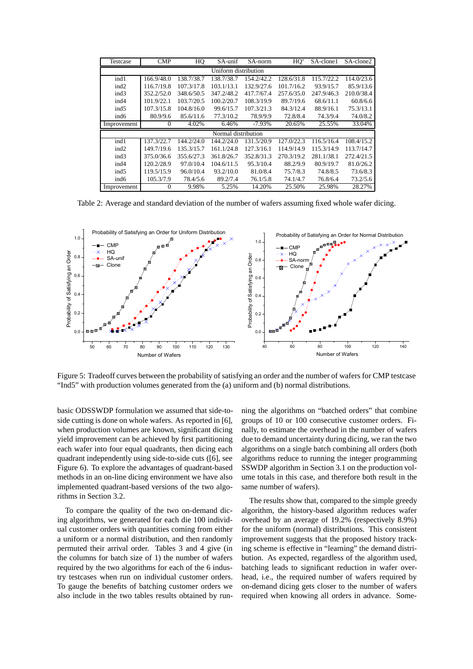| Testcase             | <b>CMP</b>   | HO         | SA-unif             | $HO^*$<br>SA-norm |            | SA-clone1  | SA-clone2  |  |  |  |
|----------------------|--------------|------------|---------------------|-------------------|------------|------------|------------|--|--|--|
| Uniform distribution |              |            |                     |                   |            |            |            |  |  |  |
| ind1                 | 166.9/48.0   | 138.7/38.7 | 138.7/38.7          | 154.2/42.2        | 128.6/31.8 | 115.7/22.2 | 114.0/23.6 |  |  |  |
| ind <sub>2</sub>     | 116.7/19.8   | 107.3/17.8 | 103.1/13.1          | 132.9/27.6        | 101.7/16.2 | 93.9/15.7  | 85.9/13.6  |  |  |  |
| ind3                 | 352.2/52.0   | 348.6/50.5 | 347.2/48.2          | 417.7/67.4        | 257.6/35.0 | 247.9/46.3 | 210.0/38.4 |  |  |  |
| ind <sub>4</sub>     | 101.9/22.1   | 103.7/20.5 | 100.2/20.7          | 108.3/19.9        | 89.7/19.6  | 68.6/11.1  | 60.8/6.6   |  |  |  |
| ind <sub>5</sub>     | 107.3/15.8   | 104.8/16.0 | 99.6/15.7           | 107.3/21.3        | 84.3/12.4  | 88.9/16.1  | 75.3/13.1  |  |  |  |
| ind <sub>6</sub>     | 80.9/9.6     | 85.6/11.6  | 77.3/10.2           | 78.9/9.9          | 72.8/8.4   | 74.3/9.4   | 74.0/8.2   |  |  |  |
| Improvement          | $\mathbf{0}$ | 4.02%      | 6.46%               | $-7.93%$          | 20.65%     | 25.55%     | 33.04%     |  |  |  |
|                      |              |            | Normal distribution |                   |            |            |            |  |  |  |
| ind1                 | 137.3/22.7   | 144.2/24.0 | 144.2/24.0          | 131.5/20.9        | 127.0/22.3 | 116.5/16.4 | 108.4/15.2 |  |  |  |
| ind <sub>2</sub>     | 149.7/19.6   | 135.3/15.7 | 161.1/24.8          | 127.3/16.1        | 114.9/14.9 | 115.3/14.9 | 113.7/14.7 |  |  |  |
| ind3                 | 375.0/36.6   | 355.6/27.3 | 361.8/26.7          | 352.8/31.3        | 270.3/19.2 | 281.1/38.1 | 272.4/21.5 |  |  |  |
| ind <sub>4</sub>     | 120.2/28.9   | 97.0/10.4  | 104.6/11.5          | 95.3/10.4         | 88.2/9.9   | 80.9/19.7  | 81.0/26.2  |  |  |  |
| ind <sub>5</sub>     | 119.5/15.9   | 96.0/10.4  | 93.2/10.0           | 81.0/8.4          | 75.7/8.3   | 74.8/8.5   | 73.6/8.3   |  |  |  |
| ind <sub>6</sub>     | 105.3/7.9    | 78.4/5.6   | 89.2/7.4            | 76.1/5.8          | 74.1/4.7   | 76.8/6.4   | 73.2/5.6   |  |  |  |
| Improvement          | $\Omega$     | 9.98%      | 5.25%               | 14.20%            | 25.50%     | 25.98%     | 28.27%     |  |  |  |

Table 2: Average and standard deviation of the number of wafers assuming fixed whole wafer dicing.



Figure 5: Tradeoff curves between the probability of satisfying an order and the number of wafers for CMP testcase "Ind5" with production volumes generated from the (a) uniform and (b) normal distributions.

basic ODSSWDP formulation we assumed that side-toside cutting is done on whole wafers. As reported in [6], when production volumes are known, significant dicing yield improvement can be achieved by first partitioning each wafer into four equal quadrants, then dicing each quadrant independently using side-to-side cuts ([6], see Figure 6). To explore the advantages of quadrant-based methods in an on-line dicing environment we have also implemented quadrant-based versions of the two algorithms in Section 3.2.

To compare the quality of the two on-demand dicing algorithms, we generated for each die 100 individual customer orders with quantities coming from either a uniform or a normal distribution, and then randomly permuted their arrival order. Tables 3 and 4 give (in the columns for batch size of 1) the number of wafers required by the two algorithms for each of the 6 industry testcases when run on individual customer orders. To gauge the benefits of batching customer orders we also include in the two tables results obtained by running the algorithms on "batched orders" that combine groups of 10 or 100 consecutive customer orders. Finally, to estimate the overhead in the number of wafers due to demand uncertainty during dicing, we ran the two algorithms on a single batch combining all orders (both algorithms reduce to running the integer programming SSWDP algorithm in Section 3.1 on the production volume totals in this case, and therefore both result in the same number of wafers).

The results show that, compared to the simple greedy algorithm, the history-based algorithm reduces wafer overhead by an average of 19.2% (respectively 8.9%) for the uniform (normal) distributions. This consistent improvement suggests that the proposed history tracking scheme is effective in "learning" the demand distribution. As expected, regardless of the algorithm used, batching leads to significant reduction in wafer overhead, i.e., the required number of wafers required by on-demand dicing gets closer to the number of wafers required when knowing all orders in advance. Some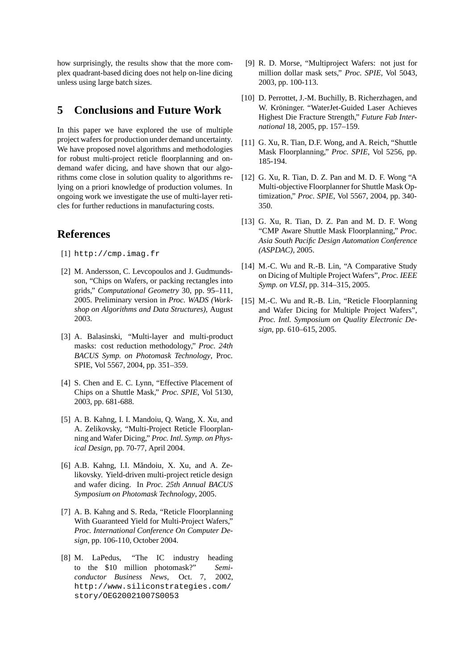how surprisingly, the results show that the more complex quadrant-based dicing does not help on-line dicing unless using large batch sizes.

# **5 Conclusions and Future Work**

In this paper we have explored the use of multiple project wafers for production under demand uncertainty. We have proposed novel algorithms and methodologies for robust multi-project reticle floorplanning and ondemand wafer dicing, and have shown that our algorithms come close in solution quality to algorithms relying on a priori knowledge of production volumes. In ongoing work we investigate the use of multi-layer reticles for further reductions in manufacturing costs.

# **References**

- [1] http://cmp.imag.fr
- [2] M. Andersson, C. Levcopoulos and J. Gudmundsson, "Chips on Wafers, or packing rectangles into grids," *Computational Geometry* 30, pp. 95–111, 2005. Preliminary version in *Proc. WADS (Workshop on Algorithms and Data Structures)*, August 2003.
- [3] A. Balasinski, "Multi-layer and multi-product masks: cost reduction methodology," *Proc. 24th BACUS Symp. on Photomask Technology*, Proc. SPIE, Vol 5567, 2004, pp. 351–359.
- [4] S. Chen and E. C. Lynn, "Effective Placement of Chips on a Shuttle Mask," *Proc. SPIE*, Vol 5130, 2003, pp. 681-688.
- [5] A. B. Kahng, I. I. Mandoiu, Q. Wang, X. Xu, and A. Zelikovsky, "Multi-Project Reticle Floorplanning and Wafer Dicing," *Proc. Intl. Symp. on Physical Design*, pp. 70-77, April 2004.
- $[6]$  A.B. Kahng, I.I. Măndoiu, X. Xu, and A. Zelikovsky. Yield-driven multi-project reticle design and wafer dicing. In *Proc. 25th Annual BACUS Symposium on Photomask Technology*, 2005.
- [7] A. B. Kahng and S. Reda, "Reticle Floorplanning With Guaranteed Yield for Multi-Project Wafers," *Proc. International Conference On Computer Design*, pp. 106-110, October 2004.
- [8] M. LaPedus, "The IC industry heading to the \$10 million photomask?" *Semiconductor Business News*, Oct. 7, 2002, http://www.siliconstrategies.com/ story/OEG20021007S0053
- [9] R. D. Morse, "Multiproject Wafers: not just for million dollar mask sets," *Proc. SPIE*, Vol 5043, 2003, pp. 100-113.
- [10] D. Perrottet, J.-M. Buchilly, B. Richerzhagen, and W. Kröninger. "WaterJet-Guided Laser Achieves Highest Die Fracture Strength," *Future Fab International* 18, 2005, pp. 157–159.
- [11] G. Xu, R. Tian, D.F. Wong, and A. Reich, "Shuttle Mask Floorplanning," *Proc. SPIE*, Vol 5256, pp. 185-194.
- [12] G. Xu, R. Tian, D. Z. Pan and M. D. F. Wong "A Multi-objective Floorplanner for Shuttle Mask Optimization," *Proc. SPIE*, Vol 5567, 2004, pp. 340- 350.
- [13] G. Xu, R. Tian, D. Z. Pan and M. D. F. Wong "CMP Aware Shuttle Mask Floorplanning," *Proc. Asia South Pacific Design Automation Conference (ASPDAC)*, 2005.
- [14] M.-C. Wu and R.-B. Lin, "A Comparative Study on Dicing of Multiple Project Wafers", *Proc. IEEE Symp. on VLSI*, pp. 314–315, 2005.
- [15] M.-C. Wu and R.-B. Lin, "Reticle Floorplanning and Wafer Dicing for Multiple Project Wafers", *Proc. Intl. Symposium on Quality Electronic Design*, pp. 610–615, 2005.